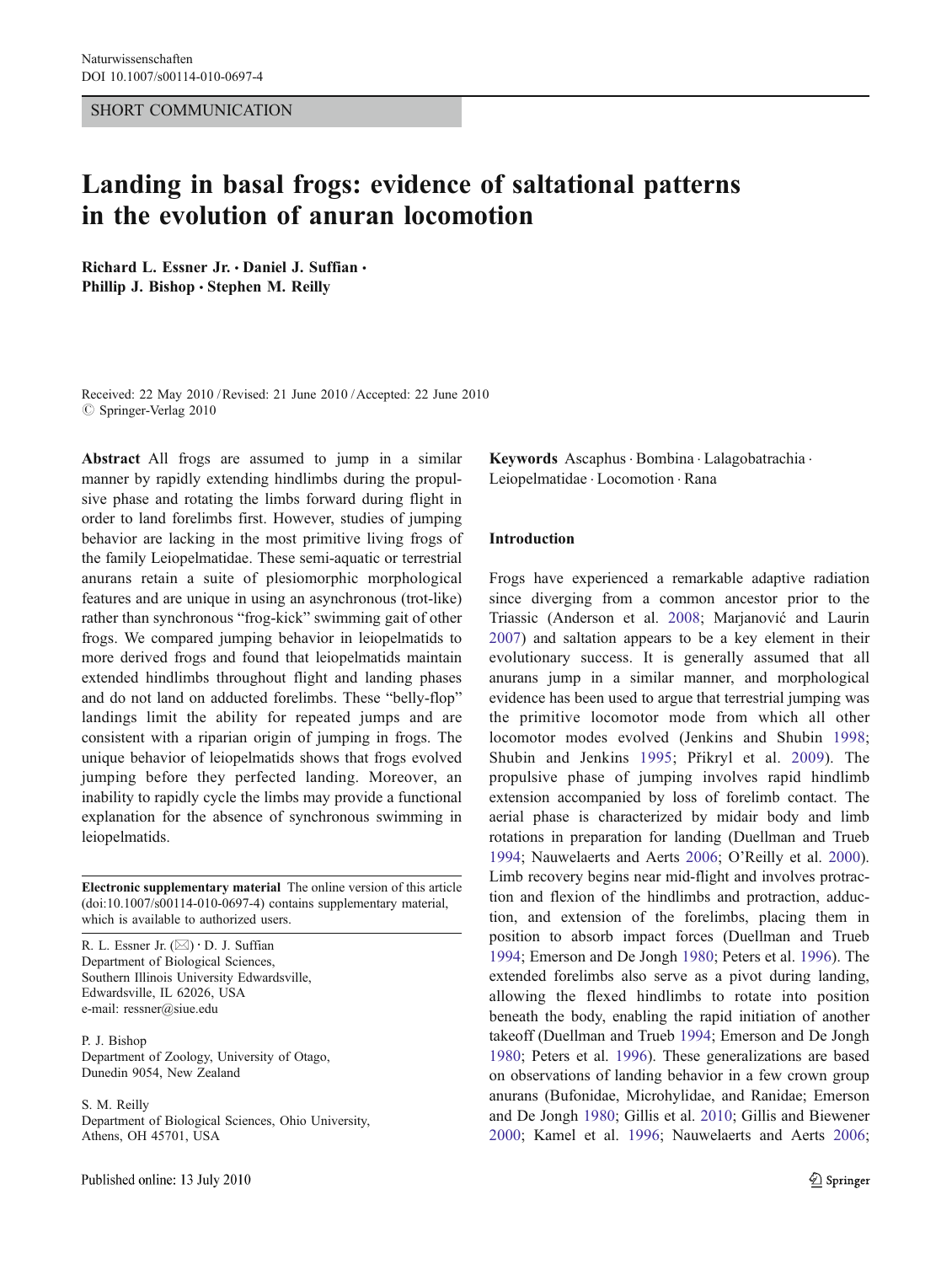### SHORT COMMUNICATION

# Landing in basal frogs: evidence of saltational patterns in the evolution of anuran locomotion

Richard L. Essner Jr. • Daniel J. Suffian • Phillip J. Bishop · Stephen M. Reilly

Received: 22 May 2010 /Revised: 21 June 2010 /Accepted: 22 June 2010  $\oslash$  Springer-Verlag 2010

Abstract All frogs are assumed to jump in a similar manner by rapidly extending hindlimbs during the propulsive phase and rotating the limbs forward during flight in order to land forelimbs first. However, studies of jumping behavior are lacking in the most primitive living frogs of the family Leiopelmatidae. These semi-aquatic or terrestrial anurans retain a suite of plesiomorphic morphological features and are unique in using an asynchronous (trot-like) rather than synchronous "frog-kick" swimming gait of other frogs. We compared jumping behavior in leiopelmatids to more derived frogs and found that leiopelmatids maintain extended hindlimbs throughout flight and landing phases and do not land on adducted forelimbs. These "belly-flop" landings limit the ability for repeated jumps and are consistent with a riparian origin of jumping in frogs. The unique behavior of leiopelmatids shows that frogs evolved jumping before they perfected landing. Moreover, an inability to rapidly cycle the limbs may provide a functional explanation for the absence of synchronous swimming in leiopelmatids.

Electronic supplementary material The online version of this article (doi:[10.1007/s00114-010-0697-4\)](http://dx.doi.org/10.1007/s00114-010-0697-4) contains supplementary material, which is available to authorized users.

R. L. Essner Jr.  $(\boxtimes) \cdot$  D. J. Suffian Department of Biological Sciences, Southern Illinois University Edwardsville, Edwardsville, IL 62026, USA e-mail: ressner@siue.edu

P. J. Bishop Department of Zoology, University of Otago, Dunedin 9054, New Zealand

S. M. Reilly Department of Biological Sciences, Ohio University, Athens, OH 45701, USA

Keywords Ascaphus. Bombina . Lalagobatrachia . Leiopelmatidae . Locomotion . Rana

# Introduction

Frogs have experienced a remarkable adaptive radiation since diverging from a common ancestor prior to the Triassic (Anderson et al. 2008; Marjanović and Laurin 2007) and saltation appears to be a key element in their evolutionary success. It is generally assumed that all anurans jump in a similar manner, and morphological evidence has been used to argue that terrestrial jumping was the primitive locomotor mode from which all other locomotor modes evolved (Jenkins and Shubin 1998; Shubin and Jenkins 1995; Přikryl et al. 2009). The propulsive phase of jumping involves rapid hindlimb extension accompanied by loss of forelimb contact. The aerial phase is characterized by midair body and limb rotations in preparation for landing (Duellman and Trueb 1994; Nauwelaerts and Aerts 2006; O'Reilly et al. 2000). Limb recovery begins near mid-flight and involves protraction and flexion of the hindlimbs and protraction, adduction, and extension of the forelimbs, placing them in position to absorb impact forces (Duellman and Trueb 1994; Emerson and De Jongh 1980; Peters et al. 1996). The extended forelimbs also serve as a pivot during landing, allowing the flexed hindlimbs to rotate into position beneath the body, enabling the rapid initiation of another takeoff (Duellman and Trueb 1994; Emerson and De Jongh 1980; Peters et al. 1996). These generalizations are based on observations of landing behavior in a few crown group anurans (Bufonidae, Microhylidae, and Ranidae; Emerson and De Jongh 1980; Gillis et al. 2010; Gillis and Biewener 2000; Kamel et al. 1996; Nauwelaerts and Aerts 2006;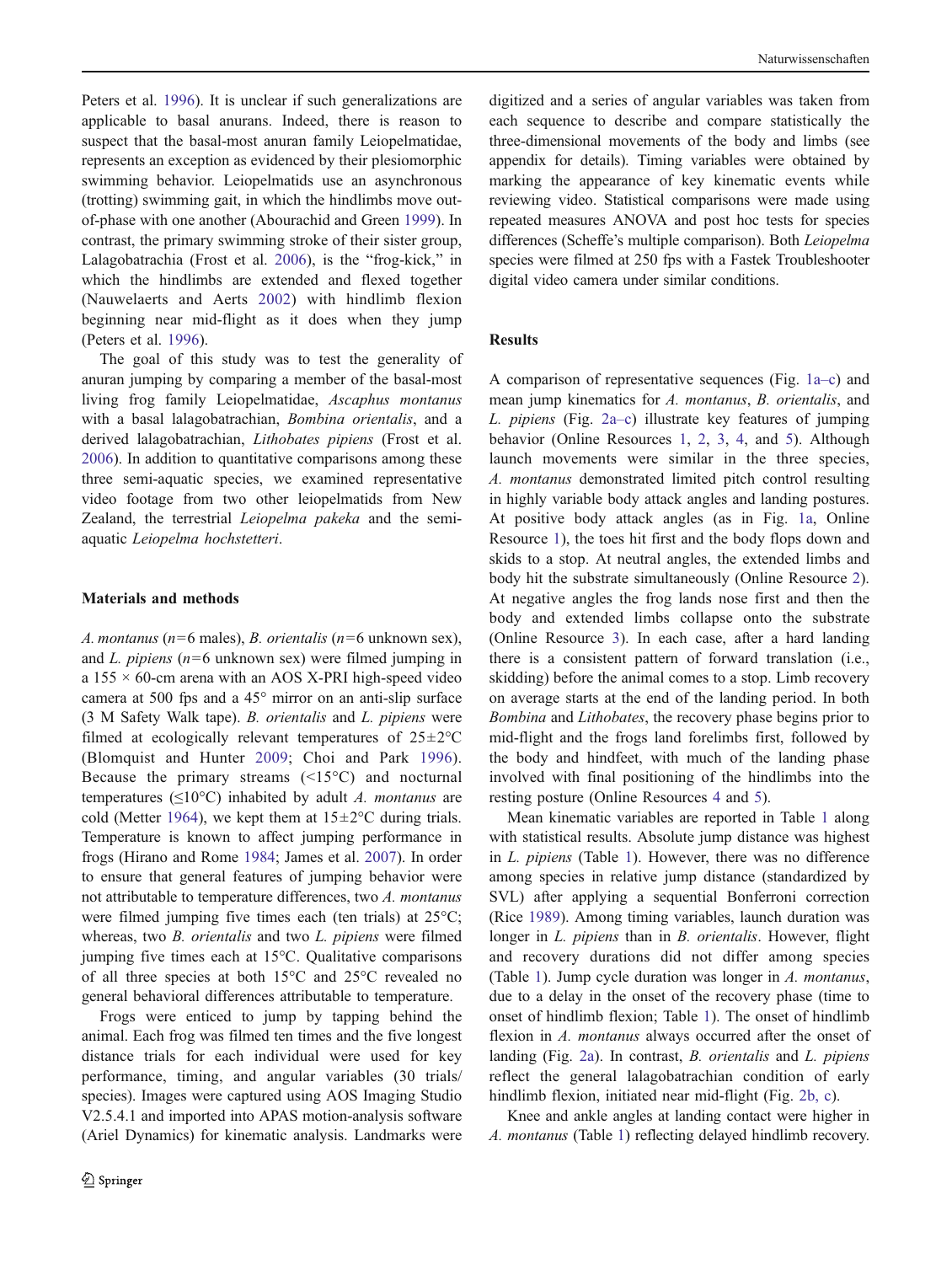Peters et al. 1996). It is unclear if such generalizations are applicable to basal anurans. Indeed, there is reason to suspect that the basal-most anuran family Leiopelmatidae, represents an exception as evidenced by their plesiomorphic swimming behavior. Leiopelmatids use an asynchronous (trotting) swimming gait, in which the hindlimbs move outof-phase with one another (Abourachid and Green 1999). In contrast, the primary swimming stroke of their sister group, Lalagobatrachia (Frost et al. 2006), is the "frog-kick," in which the hindlimbs are extended and flexed together (Nauwelaerts and Aerts 2002) with hindlimb flexion beginning near mid-flight as it does when they jump (Peters et al. 1996).

The goal of this study was to test the generality of anuran jumping by comparing a member of the basal-most living frog family Leiopelmatidae, Ascaphus montanus with a basal lalagobatrachian, Bombina orientalis, and a derived lalagobatrachian, Lithobates pipiens (Frost et al. 2006). In addition to quantitative comparisons among these three semi-aquatic species, we examined representative video footage from two other leiopelmatids from New Zealand, the terrestrial Leiopelma pakeka and the semiaquatic Leiopelma hochstetteri.

# Materials and methods

A. montanus ( $n=6$  males), B. orientalis ( $n=6$  unknown sex), and L. *pipiens* ( $n=6$  unknown sex) were filmed jumping in a  $155 \times 60$ -cm arena with an AOS X-PRI high-speed video camera at 500 fps and a 45° mirror on an anti-slip surface (3 M Safety Walk tape). B. orientalis and L. pipiens were filmed at ecologically relevant temperatures of  $25 \pm 2$ °C (Blomquist and Hunter 2009; Choi and Park 1996). Because the primary streams  $(\leq 15^{\circ}C)$  and nocturnal temperatures ( $\leq 10^{\circ}$ C) inhabited by adult *A. montanus* are cold (Metter 1964), we kept them at  $15 \pm 2^{\circ}$ C during trials. Temperature is known to affect jumping performance in frogs (Hirano and Rome 1984; James et al. 2007). In order to ensure that general features of jumping behavior were not attributable to temperature differences, two A. montanus were filmed jumping five times each (ten trials) at 25°C; whereas, two *B. orientalis* and two *L. pipiens* were filmed jumping five times each at 15°C. Qualitative comparisons of all three species at both 15°C and 25°C revealed no general behavioral differences attributable to temperature.

Frogs were enticed to jump by tapping behind the animal. Each frog was filmed ten times and the five longest distance trials for each individual were used for key performance, timing, and angular variables (30 trials/ species). Images were captured using AOS Imaging Studio V2.5.4.1 and imported into APAS motion-analysis software (Ariel Dynamics) for kinematic analysis. Landmarks were digitized and a series of angular variables was taken from each sequence to describe and compare statistically the three-dimensional movements of the body and limbs (see appendix for details). Timing variables were obtained by marking the appearance of key kinematic events while reviewing video. Statistical comparisons were made using repeated measures ANOVA and post hoc tests for species differences (Scheffe's multiple comparison). Both Leiopelma species were filmed at 250 fps with a Fastek Troubleshooter digital video camera under similar conditions.

# Results

A comparison of representative sequences (Fig. 1a–c) and mean jump kinematics for A. montanus, B. orientalis, and L. pipiens (Fig. 2a–c) illustrate key features of jumping behavior (Online Resources 1, 2, 3, 4, and 5). Although launch movements were similar in the three species, A. montanus demonstrated limited pitch control resulting in highly variable body attack angles and landing postures. At positive body attack angles (as in Fig. 1a, Online Resource 1), the toes hit first and the body flops down and skids to a stop. At neutral angles, the extended limbs and body hit the substrate simultaneously (Online Resource 2). At negative angles the frog lands nose first and then the body and extended limbs collapse onto the substrate (Online Resource 3). In each case, after a hard landing there is a consistent pattern of forward translation (i.e., skidding) before the animal comes to a stop. Limb recovery on average starts at the end of the landing period. In both Bombina and Lithobates, the recovery phase begins prior to mid-flight and the frogs land forelimbs first, followed by the body and hindfeet, with much of the landing phase involved with final positioning of the hindlimbs into the resting posture (Online Resources 4 and 5).

Mean kinematic variables are reported in Table 1 along with statistical results. Absolute jump distance was highest in L. pipiens (Table 1). However, there was no difference among species in relative jump distance (standardized by SVL) after applying a sequential Bonferroni correction (Rice 1989). Among timing variables, launch duration was longer in *L. pipiens* than in *B. orientalis*. However, flight and recovery durations did not differ among species (Table 1). Jump cycle duration was longer in A. montanus, due to a delay in the onset of the recovery phase (time to onset of hindlimb flexion; Table 1). The onset of hindlimb flexion in A. montanus always occurred after the onset of landing (Fig. 2a). In contrast, *B. orientalis* and *L. pipiens* reflect the general lalagobatrachian condition of early hindlimb flexion, initiated near mid-flight (Fig. 2b, c).

Knee and ankle angles at landing contact were higher in A. montanus (Table 1) reflecting delayed hindlimb recovery.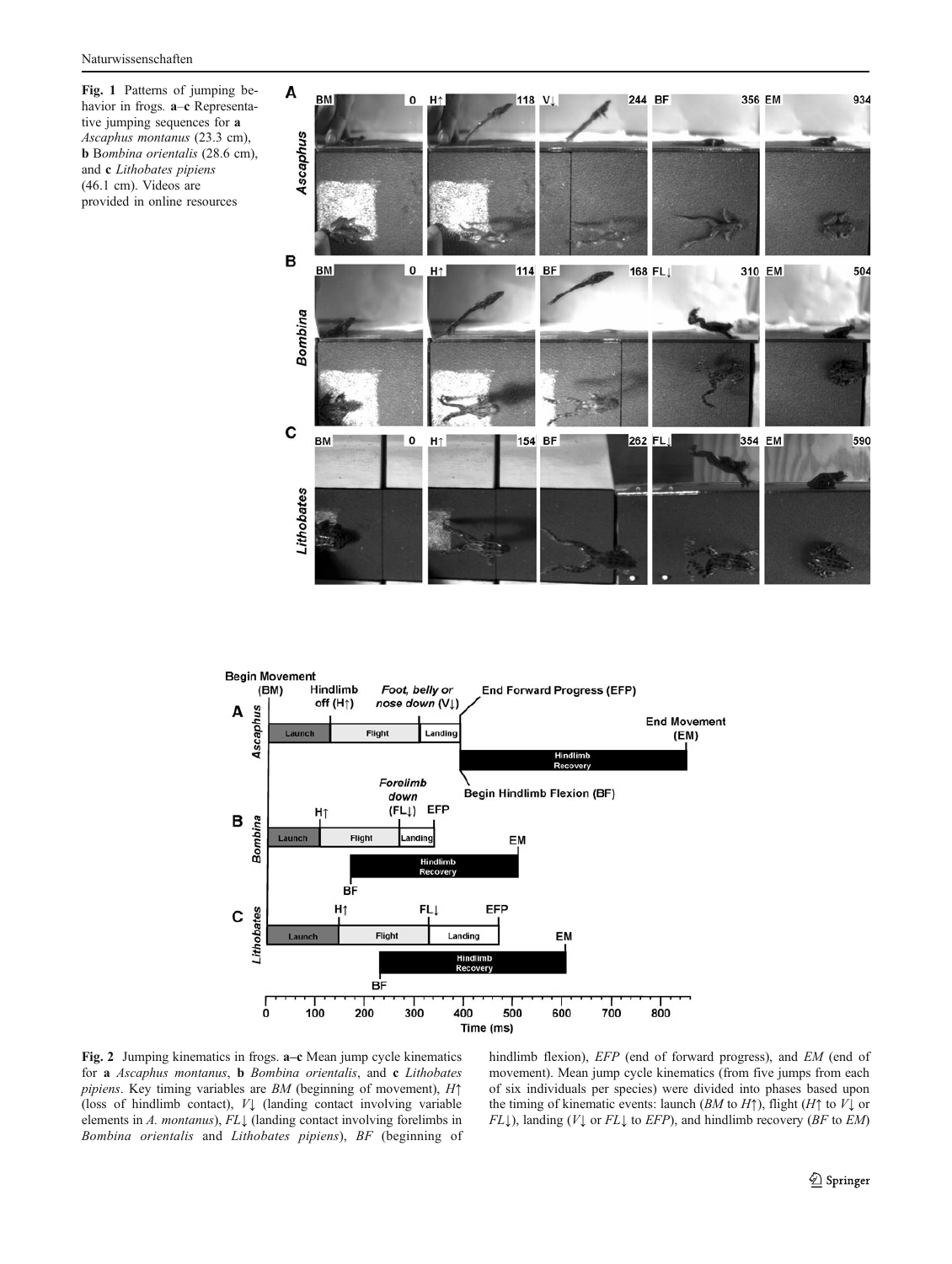Fig. 1 Patterns of jumping behavior in frogs. a–c Representative jumping sequences for a Ascaphus montanus (23.3 cm), b Bombina orientalis (28.6 cm), and c Lithobates pipiens (46.1 cm). Videos are provided in online resources





Fig. 2 Jumping kinematics in frogs. a–c Mean jump cycle kinematics for a Ascaphus montanus, b Bombina orientalis, and c Lithobates pipiens. Key timing variables are  $BM$  (beginning of movement),  $H\uparrow$ (loss of hindlimb contact), V↓ (landing contact involving variable elements in A. montanus), FL↓ (landing contact involving forelimbs in Bombina orientalis and Lithobates pipiens), BF (beginning of hindlimb flexion), *EFP* (end of forward progress), and *EM* (end of movement). Mean jump cycle kinematics (from five jumps from each of six individuals per species) were divided into phases based upon the timing of kinematic events: launch ( $BM$  to  $H\uparrow$ ), flight ( $H\uparrow$  to  $V\downarrow$  or  $FL\downarrow$ ), landing ( $V\downarrow$  or  $FL\downarrow$  to  $EFP$ ), and hindlimb recovery ( $BF$  to  $EM$ )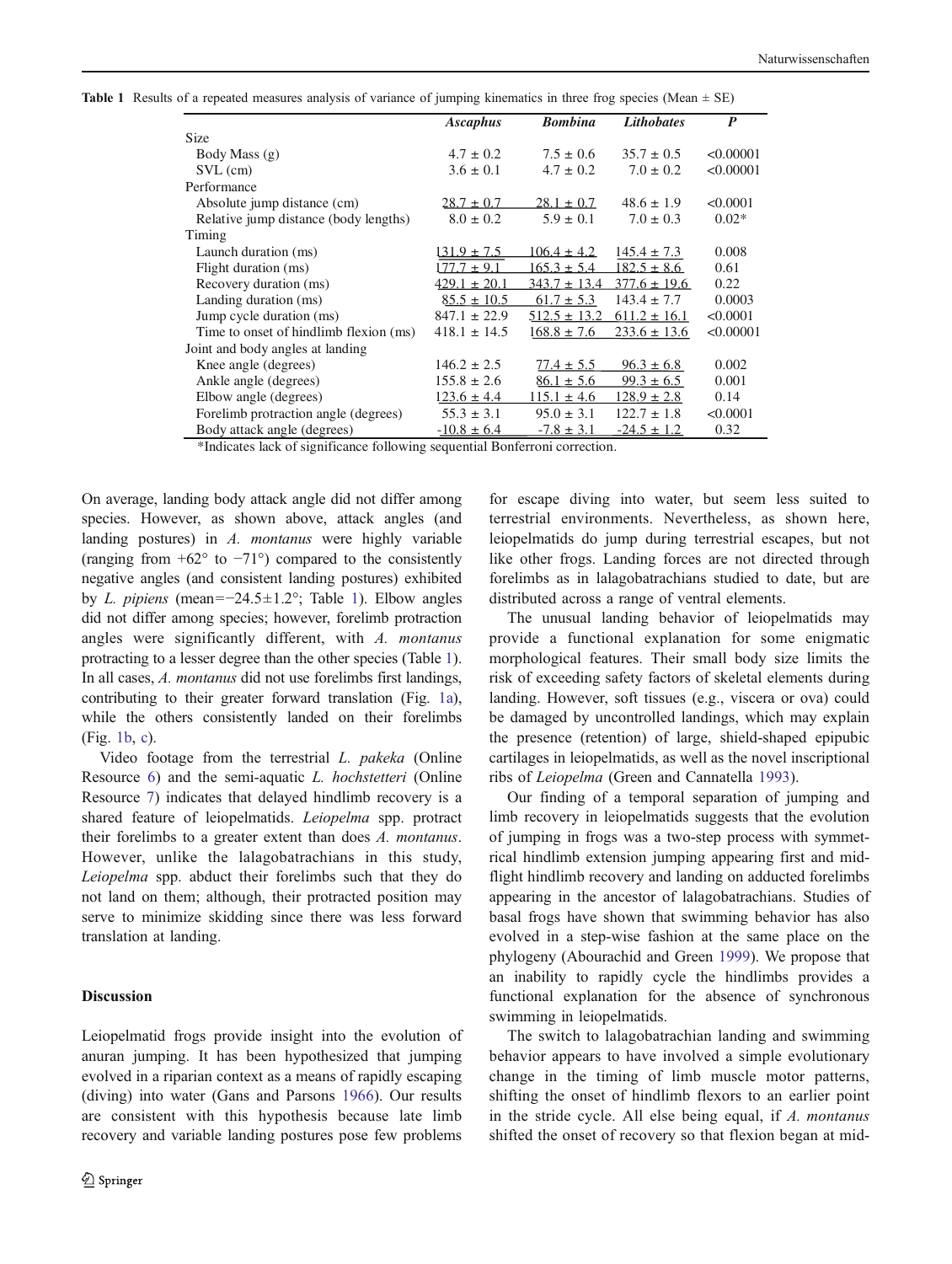**Table 1** Results of a repeated measures analysis of variance of jumping kinematics in three frog species (Mean  $\pm$  SE)

|                                        | Ascaphus         | <b>Bombina</b>   | <b>Lithobates</b> | P         |
|----------------------------------------|------------------|------------------|-------------------|-----------|
| <b>Size</b>                            |                  |                  |                   |           |
| Body Mass (g)                          | $4.7 \pm 0.2$    | $7.5 \pm 0.6$    | $35.7 \pm 0.5$    | < 0.00001 |
| SVL (cm)                               | $3.6 \pm 0.1$    | $4.7 \pm 0.2$    | $7.0 \pm 0.2$     | < 0.00001 |
| Performance                            |                  |                  |                   |           |
| Absolute jump distance (cm)            | $28.7 \pm 0.7$   | $28.1 \pm 0.7$   | $48.6 \pm 1.9$    | < 0.0001  |
| Relative jump distance (body lengths)  | $8.0 \pm 0.2$    | $5.9 \pm 0.1$    | $7.0 \pm 0.3$     | $0.02*$   |
| Timing                                 |                  |                  |                   |           |
| Launch duration (ms)                   | $131.9 \pm 7.5$  | $106.4 \pm 4.2$  | $145.4 \pm 7.3$   | 0.008     |
| Flight duration (ms)                   | $177.7 + 9.1$    | $165.3 \pm 5.4$  | $182.5 \pm 8.6$   | 0.61      |
| Recovery duration (ms)                 | $429.1 \pm 20.1$ | $343.7 + 13.4$   | $377.6 \pm 19.6$  | 0.22      |
| Landing duration (ms)                  | $85.5 \pm 10.5$  | $61.7 \pm 5.3$   | $143.4 \pm 7.7$   | 0.0003    |
| Jump cycle duration (ms)               | $847.1 \pm 22.9$ | $512.5 \pm 13.2$ | $611.2 \pm 16.1$  | < 0.0001  |
| Time to onset of hindlimb flexion (ms) | $418.1 \pm 14.5$ | $168.8 \pm 7.6$  | $233.6 \pm 13.6$  | < 0.00001 |
| Joint and body angles at landing       |                  |                  |                   |           |
| Knee angle (degrees)                   | $146.2 \pm 2.5$  | $77.4 \pm 5.5$   | $96.3 \pm 6.8$    | 0.002     |
| Ankle angle (degrees)                  | $155.8 \pm 2.6$  | $86.1 \pm 5.6$   | $99.3 \pm 6.5$    | 0.001     |
| Elbow angle (degrees)                  | $123.6 \pm 4.4$  | $115.1 \pm 4.6$  | $128.9 \pm 2.8$   | 0.14      |
| Forelimb protraction angle (degrees)   | $55.3 \pm 3.1$   | $95.0 \pm 3.1$   | $122.7 \pm 1.8$   | < 0.0001  |
| Body attack angle (degrees)            | $-10.8 \pm 6.4$  | $-7.8 \pm 3.1$   | $-24.5 \pm 1.2$   | 0.32      |

\*Indicates lack of significance following sequential Bonferroni correction.

On average, landing body attack angle did not differ among species. However, as shown above, attack angles (and landing postures) in A. montanus were highly variable (ranging from  $+62^{\circ}$  to  $-71^{\circ}$ ) compared to the consistently negative angles (and consistent landing postures) exhibited by L. pipiens (mean=−24.5±1.2°; Table 1). Elbow angles did not differ among species; however, forelimb protraction angles were significantly different, with A. montanus protracting to a lesser degree than the other species (Table 1). In all cases, A. montanus did not use forelimbs first landings, contributing to their greater forward translation (Fig. 1a), while the others consistently landed on their forelimbs (Fig. 1b, c).

Video footage from the terrestrial L. pakeka (Online Resource 6) and the semi-aquatic L. hochstetteri (Online Resource 7) indicates that delayed hindlimb recovery is a shared feature of leiopelmatids. Leiopelma spp. protract their forelimbs to a greater extent than does A. montanus. However, unlike the lalagobatrachians in this study, Leiopelma spp. abduct their forelimbs such that they do not land on them; although, their protracted position may serve to minimize skidding since there was less forward translation at landing.

# Discussion

Leiopelmatid frogs provide insight into the evolution of anuran jumping. It has been hypothesized that jumping evolved in a riparian context as a means of rapidly escaping (diving) into water (Gans and Parsons 1966). Our results are consistent with this hypothesis because late limb recovery and variable landing postures pose few problems

for escape diving into water, but seem less suited to terrestrial environments. Nevertheless, as shown here, leiopelmatids do jump during terrestrial escapes, but not like other frogs. Landing forces are not directed through forelimbs as in lalagobatrachians studied to date, but are distributed across a range of ventral elements.

The unusual landing behavior of leiopelmatids may provide a functional explanation for some enigmatic morphological features. Their small body size limits the risk of exceeding safety factors of skeletal elements during landing. However, soft tissues (e.g., viscera or ova) could be damaged by uncontrolled landings, which may explain the presence (retention) of large, shield-shaped epipubic cartilages in leiopelmatids, as well as the novel inscriptional ribs of Leiopelma (Green and Cannatella 1993).

Our finding of a temporal separation of jumping and limb recovery in leiopelmatids suggests that the evolution of jumping in frogs was a two-step process with symmetrical hindlimb extension jumping appearing first and midflight hindlimb recovery and landing on adducted forelimbs appearing in the ancestor of lalagobatrachians. Studies of basal frogs have shown that swimming behavior has also evolved in a step-wise fashion at the same place on the phylogeny (Abourachid and Green 1999). We propose that an inability to rapidly cycle the hindlimbs provides a functional explanation for the absence of synchronous swimming in leiopelmatids.

The switch to lalagobatrachian landing and swimming behavior appears to have involved a simple evolutionary change in the timing of limb muscle motor patterns, shifting the onset of hindlimb flexors to an earlier point in the stride cycle. All else being equal, if A. montanus shifted the onset of recovery so that flexion began at mid-